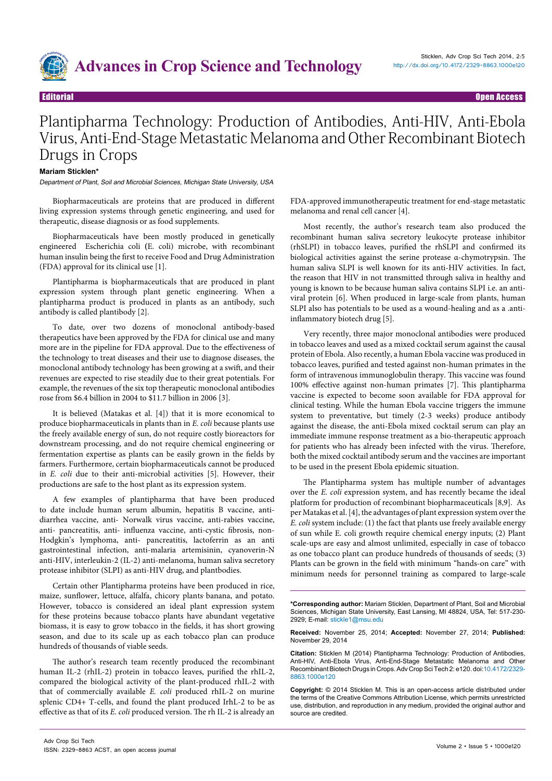

# Plantipharma Technology: Production of Antibodies, Anti-HIV, Anti-Ebola Virus, Anti-End-Stage Metastatic Melanoma and Other Recombinant Biotech Drugs in Crops

### **Mariam Sticklen\***

Department of Plant, Soil and Microbial Sciences, Michigan State University, USA

Biopharmaceuticals are proteins that are produced in different living expression systems through genetic engineering, and used for therapeutic, disease diagnosis or as food supplements.

Biopharmaceuticals have been mostly produced in genetically engineered Escherichia coli **(**E. coli) microbe, with recombinant human insulin being the first to receive Food and Drug Administration (FDA) approval for its clinical use [1].

Plantipharma is biopharmaceuticals that are produced in plant expression system through plant genetic engineering. When a plantipharma product is produced in plants as an antibody, such antibody is called plantibody [2].

To date, over two dozens of monoclonal antibody-based therapeutics have been approved by the FDA for clinical use and many more are in the pipeline for FDA approval. Due to the effectiveness of the technology to treat diseases and their use to diagnose diseases, the monoclonal antibody technology has been growing at a swift, and their revenues are expected to rise steadily due to their great potentials. For example, the revenues of the six top therapeutic monoclonal antibodies rose from \$6.4 billion in 2004 to \$11.7 billion in 2006 [3].

It is believed (Matakas et al. [4]) that it is more economical to produce biopharmaceuticals in plants than in *E. coli* because plants use the freely available energy of sun, do not require costly bioreactors for downstream processing, and do not require chemical engineering or fermentation expertise as plants can be easily grown in the fields by farmers. Furthermore, certain biopharmaceuticals cannot be produced in *E. coli* due to their anti-microbial activities [5]. However, their productions are safe to the host plant as its expression system.

A few examples of plantipharma that have been produced to date include human serum albumin, hepatitis B vaccine, antidiarrhea vaccine, anti- Norwalk virus vaccine, anti-rabies vaccine, anti- pancreatitis, anti- influenza vaccine, anti-cystic fibrosis, non-Hodgkin's lymphoma, anti- pancreatitis, lactoferrin as an anti gastrointestinal infection, anti-malaria artemisinin, cyanoverin-N anti-HIV, interleukin-2 (IL-2) anti-melanoma, human saliva secretory protease inhibitor (SLPI) as anti-HIV drug, and plantbodies.

Certain other Plantipharma proteins have been produced in rice, maize, sunflower, lettuce, alfalfa, chicory plants banana, and potato. However, tobacco is considered an ideal plant expression system for these proteins because tobacco plants have abundant vegetative biomass, it is easy to grow tobacco in the fields, it has short growing season, and due to its scale up as each tobacco plan can produce hundreds of thousands of viable seeds.

The author's research team recently produced the recombinant human IL-2 (rhIL-2) protein in tobacco leaves, purified the rhIL-2, compared the biological activity of the plant-produced rhIL-2 with that of commercially available *E. coli* produced rhIL-2 on murine splenic CD4+ T-cells, and found the plant produced IrhL-2 to be as effective as that of its *E. coli* produced version. The rh IL-2 is already an

FDA-approved immunotherapeutic treatment for end-stage metastatic melanoma and renal cell cancer [4].

Most recently, the author's research team also produced the recombinant human saliva secretory leukocyte protease inhibitor (rhSLPI) in tobacco leaves, purified the rhSLPI and confirmed its biological activities against the serine protease α-chymotrypsin. The human saliva SLPI is well known for its anti-HIV activities. In fact, the reason that HIV in not transmitted through saliva in healthy and young is known to be because human saliva contains SLPI i.e. an antiviral protein [6]. When produced in large-scale from plants, human SLPI also has potentials to be used as a wound-healing and as a .antiinflammatory biotech drug [5].

Very recently, three major monoclonal antibodies were produced in tobacco leaves and used as a mixed cocktail serum against the causal protein of Ebola. Also recently, a human Ebola vaccine was produced in tobacco leaves, purified and tested against non-human primates in the form of [intravenous immunoglobulin](http://en.wikipedia.org/wiki/Intravenous_immunoglobulin) therapy. This vaccine was found 100% effective against non-human primates [7]. This plantipharma vaccine is expected to become soon available for FDA approval for clinical testing. While the human Ebola vaccine triggers the immune system to preventative, but timely (2-3 weeks) produce antibody against the disease, the anti-Ebola mixed cocktail serum can play an immediate immune response treatment as a bio-therapeutic approach for patients who has already been infected with the virus. Therefore, both the mixed cocktail antibody serum and the vaccines are important to be used in the present Ebola epidemic situation.

The Plantipharma system has multiple number of advantages over the *E. coli* expression system, and has recently became the ideal platform for production of recombinant biopharmaceuticals [8,9]. As per Matakas et al. [4], the advantages of plant expression system over the *E. coli* system include: (1) the fact that plants use freely available energy of sun while E. coli growth require chemical energy inputs; (2) Plant scale-ups are easy and almost unlimited, especially in case of tobacco as one tobacco plant can produce hundreds of thousands of seeds; (3) Plants can be grown in the field with minimum "hands-on care" with minimum needs for personnel training as compared to large-scale

**Received:** November 25, 2014; **Accepted:** November 27, 2014; **Published:**  November 29, 2014

**Citation:** Sticklen M (2014) Plantipharma Technology: Production of Antibodies, Anti-HIV, Anti-Ebola Virus, Anti-End-Stage Metastatic Melanoma and Other Recombinant Biotech Drugs in Crops. Adv Crop Sci Tech 2: e120. doi:[10.4172/2329-](http://dx.doi.org/10.4172/2329-8863.1000e120) [8863.1000](http://dx.doi.org/10.4172/2329-8863.1000e120)e120

**Copyright:** © 2014 Sticklen M. This is an open-access article distributed under the terms of the Creative Commons Attribution License, which permits unrestricted use, distribution, and reproduction in any medium, provided the original author and source are credited.

**<sup>\*</sup>Corresponding author:** Mariam Sticklen, Department of Plant, Soil and Microbial Sciences, Michigan State University, East Lansing, MI 48824, USA, Tel: 517-230- 2929; E-mail: stickle1@msu.edu